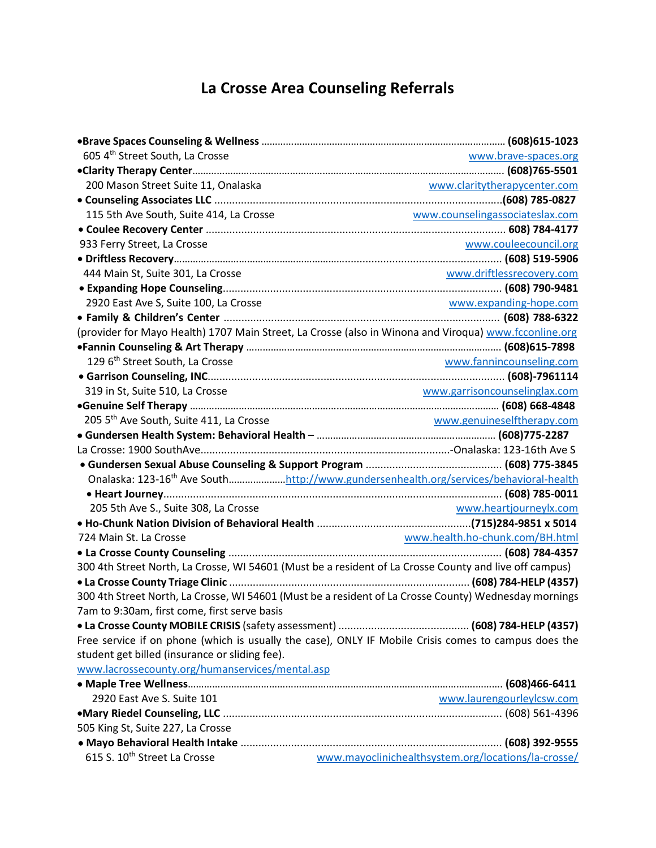## **La Crosse Area Counseling Referrals**

| 605 4th Street South, La Crosse                     | www.brave-spaces.org                                                                                   |
|-----------------------------------------------------|--------------------------------------------------------------------------------------------------------|
|                                                     |                                                                                                        |
| 200 Mason Street Suite 11, Onalaska                 | www.claritytherapycenter.com                                                                           |
|                                                     |                                                                                                        |
| 115 5th Ave South, Suite 414, La Crosse             | www.counselingassociateslax.com                                                                        |
|                                                     |                                                                                                        |
| 933 Ferry Street, La Crosse                         | www.couleecouncil.org                                                                                  |
|                                                     |                                                                                                        |
| 444 Main St, Suite 301, La Crosse                   | www.driftlessrecovery.com                                                                              |
|                                                     |                                                                                                        |
| 2920 East Ave S, Suite 100, La Crosse               | www.expanding-hope.com                                                                                 |
|                                                     |                                                                                                        |
|                                                     | (provider for Mayo Health) 1707 Main Street, La Crosse (also in Winona and Viroqua) www.fcconline.org  |
|                                                     |                                                                                                        |
| 129 6 <sup>th</sup> Street South, La Crosse         | www.fannincounseling.com                                                                               |
|                                                     |                                                                                                        |
| 319 in St, Suite 510, La Crosse                     | www.garrisoncounselinglax.com                                                                          |
|                                                     |                                                                                                        |
| 205 5 <sup>th</sup> Ave South, Suite 411, La Crosse | www.genuineselftherapy.com                                                                             |
|                                                     |                                                                                                        |
|                                                     |                                                                                                        |
|                                                     |                                                                                                        |
|                                                     | Onalaska: 123-16 <sup>th</sup> Ave Southhttp://www.gundersenhealth.org/services/behavioral-health      |
|                                                     |                                                                                                        |
| 205 5th Ave S., Suite 308, La Crosse                | www.heartjourneylx.com                                                                                 |
|                                                     |                                                                                                        |
|                                                     |                                                                                                        |
|                                                     |                                                                                                        |
|                                                     | 300 4th Street North, La Crosse, WI 54601 (Must be a resident of La Crosse County and live off campus) |
|                                                     |                                                                                                        |
|                                                     | 300 4th Street North, La Crosse, WI 54601 (Must be a resident of La Crosse County) Wednesday mornings  |
| 7am to 9:30am, first come, first serve basis        |                                                                                                        |
|                                                     |                                                                                                        |
|                                                     | Free service if on phone (which is usually the case), ONLY IF Mobile Crisis comes to campus does the   |
| student get billed (insurance or sliding fee).      |                                                                                                        |
| www.lacrossecounty.org/humanservices/mental.asp     |                                                                                                        |
|                                                     |                                                                                                        |
| 2920 East Ave S. Suite 101                          | www.laurengourleylcsw.com                                                                              |
|                                                     |                                                                                                        |
| 505 King St, Suite 227, La Crosse                   |                                                                                                        |
|                                                     |                                                                                                        |
| 615 S. 10 <sup>th</sup> Street La Crosse            | www.mayoclinichealthsystem.org/locations/la-crosse/                                                    |